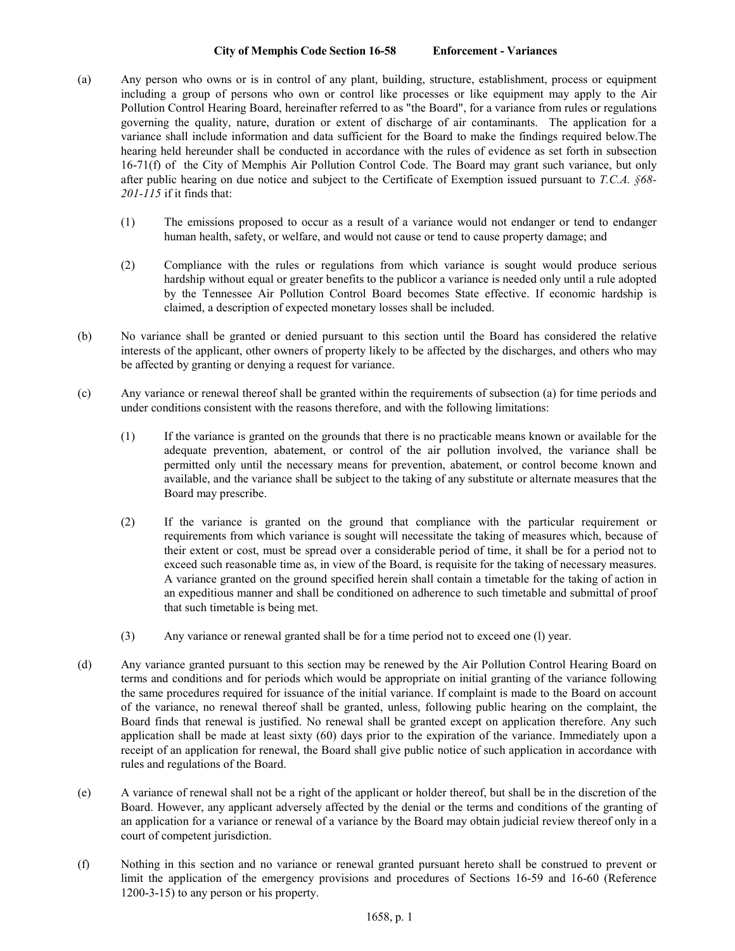## **City of Memphis Code Section 16-58 Enforcement - Variances**

- (a) Any person who owns or is in control of any plant, building, structure, establishment, process or equipment including a group of persons who own or control like processes or like equipment may apply to the Air Pollution Control Hearing Board, hereinafter referred to as "the Board", for a variance from rules or regulations governing the quality, nature, duration or extent of discharge of air contaminants. The application for a variance shall include information and data sufficient for the Board to make the findings required below.The hearing held hereunder shall be conducted in accordance with the rules of evidence as set forth in subsection 16-71(f) of the City of Memphis Air Pollution Control Code. The Board may grant such variance, but only after public hearing on due notice and subject to the Certificate of Exemption issued pursuant to *T.C.A. §68- 201-115* if it finds that:
	- (1) The emissions proposed to occur as a result of a variance would not endanger or tend to endanger human health, safety, or welfare, and would not cause or tend to cause property damage; and
	- (2) Compliance with the rules or regulations from which variance is sought would produce serious hardship without equal or greater benefits to the publicor a variance is needed only until a rule adopted by the Tennessee Air Pollution Control Board becomes State effective. If economic hardship is claimed, a description of expected monetary losses shall be included.
- (b) No variance shall be granted or denied pursuant to this section until the Board has considered the relative interests of the applicant, other owners of property likely to be affected by the discharges, and others who may be affected by granting or denying a request for variance.
- (c) Any variance or renewal thereof shall be granted within the requirements of subsection (a) for time periods and under conditions consistent with the reasons therefore, and with the following limitations:
	- (1) If the variance is granted on the grounds that there is no practicable means known or available for the adequate prevention, abatement, or control of the air pollution involved, the variance shall be permitted only until the necessary means for prevention, abatement, or control become known and available, and the variance shall be subject to the taking of any substitute or alternate measures that the Board may prescribe.
	- (2) If the variance is granted on the ground that compliance with the particular requirement or requirements from which variance is sought will necessitate the taking of measures which, because of their extent or cost, must be spread over a considerable period of time, it shall be for a period not to exceed such reasonable time as, in view of the Board, is requisite for the taking of necessary measures. A variance granted on the ground specified herein shall contain a timetable for the taking of action in an expeditious manner and shall be conditioned on adherence to such timetable and submittal of proof that such timetable is being met.
	- (3) Any variance or renewal granted shall be for a time period not to exceed one (l) year.
- (d) Any variance granted pursuant to this section may be renewed by the Air Pollution Control Hearing Board on terms and conditions and for periods which would be appropriate on initial granting of the variance following the same procedures required for issuance of the initial variance. If complaint is made to the Board on account of the variance, no renewal thereof shall be granted, unless, following public hearing on the complaint, the Board finds that renewal is justified. No renewal shall be granted except on application therefore. Any such application shall be made at least sixty (60) days prior to the expiration of the variance. Immediately upon a receipt of an application for renewal, the Board shall give public notice of such application in accordance with rules and regulations of the Board.
- (e) A variance of renewal shall not be a right of the applicant or holder thereof, but shall be in the discretion of the Board. However, any applicant adversely affected by the denial or the terms and conditions of the granting of an application for a variance or renewal of a variance by the Board may obtain judicial review thereof only in a court of competent jurisdiction.
- (f) Nothing in this section and no variance or renewal granted pursuant hereto shall be construed to prevent or limit the application of the emergency provisions and procedures of Sections 16-59 and 16-60 (Reference 1200-3-15) to any person or his property.